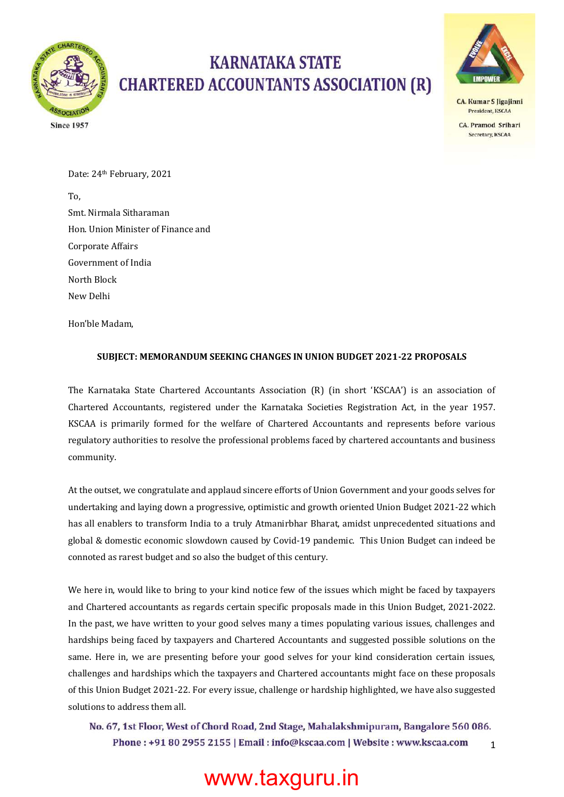



**CA. Kumar S Jigajinni** President, KSCAA

**CA. Pramod Srihari** Secretary KSCAA

Date: 24th February, 2021

To, Smt. Nirmala Sitharaman Hon. Union Minister of Finance and Corporate Affairs Government of India North Block New Delhi

Hon'ble Madam,

#### **SUBJECT: MEMORANDUM SEEKING CHANGES IN UNION BUDGET 2021-22 PROPOSALS**

The Karnataka State Chartered Accountants Association (R) (in short 'KSCAA') is an association of Chartered Accountants, registered under the Karnataka Societies Registration Act, in the year 1957. KSCAA is primarily formed for the welfare of Chartered Accountants and represents before various regulatory authorities to resolve the professional problems faced by chartered accountants and business community.

At the outset, we congratulate and applaud sincere efforts of Union Government and your goods selves for undertaking and laying down a progressive, optimistic and growth oriented Union Budget 2021-22 which has all enablers to transform India to a truly Atmanirbhar Bharat, amidst unprecedented situations and global & domestic economic slowdown caused by Covid-19 pandemic. This Union Budget can indeed be connoted as rarest budget and so also the budget of this century.

We here in, would like to bring to your kind notice few of the issues which might be faced by taxpayers and Chartered accountants as regards certain specific proposals made in this Union Budget, 2021-2022. In the past, we have written to your good selves many a times populating various issues, challenges and hardships being faced by taxpayers and Chartered Accountants and suggested possible solutions on the same. Here in, we are presenting before your good selves for your kind consideration certain issues, challenges and hardships which the taxpayers and Chartered accountants might face on these proposals of this Union Budget 2021-22. For every issue, challenge or hardship highlighted, we have also suggested solutions to address them all.

No. 67, 1st Floor, West of Chord Road, 2nd Stage, Mahalakshmipuram, Bangalore 560 086. Phone: +91 80 2955 2155 | Email: info@kscaa.com | Website: www.kscaa.com 1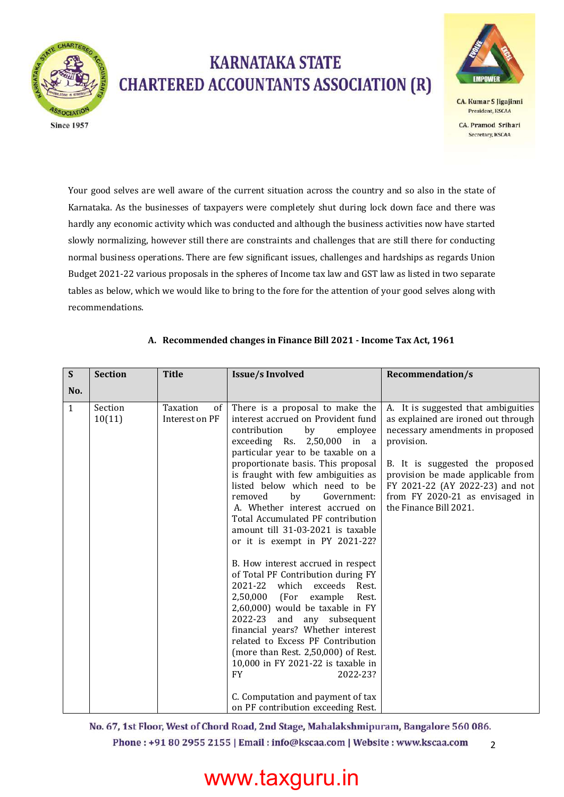



**CA. Kumar S Jigajinni** President, KSCAA

CA. Pramod Srihari Secretary, KSCAA

Your good selves are well aware of the current situation across the country and so also in the state of Karnataka. As the businesses of taxpayers were completely shut during lock down face and there was hardly any economic activity which was conducted and although the business activities now have started slowly normalizing, however still there are constraints and challenges that are still there for conducting normal business operations. There are few significant issues, challenges and hardships as regards Union Budget 2021-22 various proposals in the spheres of Income tax law and GST law as listed in two separate tables as below, which we would like to bring to the fore for the attention of your good selves along with recommendations.

| $\mathbf S$  | <b>Section</b>    | <b>Title</b>                     | <b>Issue/s Involved</b>                                                                                                                                                                                                                                                                                                                                                                                                                                                                                                                                                                                                                                            | <b>Recommendation/s</b>                                                                                                                                                                                                                                                                              |
|--------------|-------------------|----------------------------------|--------------------------------------------------------------------------------------------------------------------------------------------------------------------------------------------------------------------------------------------------------------------------------------------------------------------------------------------------------------------------------------------------------------------------------------------------------------------------------------------------------------------------------------------------------------------------------------------------------------------------------------------------------------------|------------------------------------------------------------------------------------------------------------------------------------------------------------------------------------------------------------------------------------------------------------------------------------------------------|
| No.          |                   |                                  |                                                                                                                                                                                                                                                                                                                                                                                                                                                                                                                                                                                                                                                                    |                                                                                                                                                                                                                                                                                                      |
| $\mathbf{1}$ | Section<br>10(11) | Taxation<br>of<br>Interest on PF | There is a proposal to make the<br>interest accrued on Provident fund<br>employee<br>contribution<br>by<br>exceeding Rs. 2,50,000 in a<br>particular year to be taxable on a<br>proportionate basis. This proposal<br>is fraught with few ambiguities as<br>listed below which need to be<br>removed<br>by<br>Government:<br>A. Whether interest accrued on<br>Total Accumulated PF contribution<br>amount till 31-03-2021 is taxable<br>or it is exempt in PY 2021-22?<br>B. How interest accrued in respect<br>of Total PF Contribution during FY<br>2021-22 which<br>exceeds<br>Rest.<br>2,50,000<br>(For example)<br>Rest.<br>2,60,000) would be taxable in FY | A. It is suggested that ambiguities<br>as explained are ironed out through<br>necessary amendments in proposed<br>provision.<br>B. It is suggested the proposed<br>provision be made applicable from<br>FY 2021-22 (AY 2022-23) and not<br>from FY 2020-21 as envisaged in<br>the Finance Bill 2021. |
|              |                   |                                  | 2022-23<br>and<br>any subsequent<br>financial years? Whether interest<br>related to Excess PF Contribution<br>(more than Rest. 2,50,000) of Rest.<br>10,000 in FY 2021-22 is taxable in                                                                                                                                                                                                                                                                                                                                                                                                                                                                            |                                                                                                                                                                                                                                                                                                      |
|              |                   |                                  | <b>FY</b><br>2022-23?<br>C. Computation and payment of tax<br>on PF contribution exceeding Rest.                                                                                                                                                                                                                                                                                                                                                                                                                                                                                                                                                                   |                                                                                                                                                                                                                                                                                                      |

#### **A. Recommended changes in Finance Bill 2021 - Income Tax Act, 1961**

No. 67, 1st Floor, West of Chord Road, 2nd Stage, Mahalakshmipuram, Bangalore 560 086. Phone: +91 80 2955 2155 | Email: info@kscaa.com | Website: www.kscaa.com 2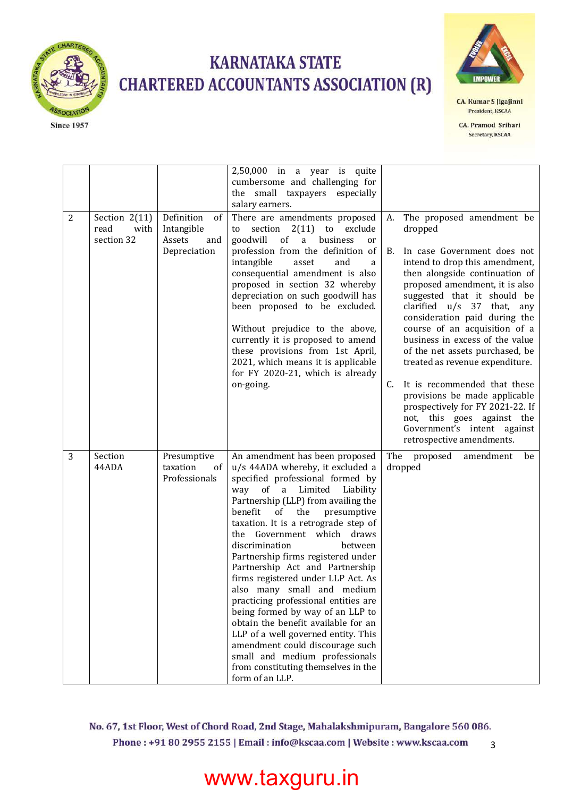



**CA. Kumar S Jigajinni** President, KSCAA

**CA. Pramod Srihari** Secretary, KSCAA

|   |                                               |                                                                 | $2,50,000$ in a year is quite<br>cumbersome and challenging for<br>the small taxpayers especially<br>salary earners.                                                                                                                                                                                                                                                                                                                                                                                                                                                                                                                                                                                                                                           |                                                                                                                                                                                                                                                                                                                                                                                                                                                                                                                                                                                                                                                |
|---|-----------------------------------------------|-----------------------------------------------------------------|----------------------------------------------------------------------------------------------------------------------------------------------------------------------------------------------------------------------------------------------------------------------------------------------------------------------------------------------------------------------------------------------------------------------------------------------------------------------------------------------------------------------------------------------------------------------------------------------------------------------------------------------------------------------------------------------------------------------------------------------------------------|------------------------------------------------------------------------------------------------------------------------------------------------------------------------------------------------------------------------------------------------------------------------------------------------------------------------------------------------------------------------------------------------------------------------------------------------------------------------------------------------------------------------------------------------------------------------------------------------------------------------------------------------|
| 2 | Section $2(11)$<br>with<br>read<br>section 32 | Definition<br>of<br>Intangible<br>Assets<br>and<br>Depreciation | There are amendments proposed<br>section 2(11) to exclude<br>to<br>goodwill<br>of<br>$\mathbf{a}$<br>business<br>or<br>profession from the definition of<br>intangible<br>asset<br>and<br>a<br>consequential amendment is also<br>proposed in section 32 whereby<br>depreciation on such goodwill has<br>been proposed to be excluded.<br>Without prejudice to the above,<br>currently it is proposed to amend<br>these provisions from 1st April,<br>2021, which means it is applicable<br>for FY 2020-21, which is already<br>on-going.                                                                                                                                                                                                                      | The proposed amendment be<br>A.<br>dropped<br>In case Government does not<br><b>B.</b><br>intend to drop this amendment,<br>then alongside continuation of<br>proposed amendment, it is also<br>suggested that it should be<br>clarified $u/s$ 37 that,<br>any<br>consideration paid during the<br>course of an acquisition of a<br>business in excess of the value<br>of the net assets purchased, be<br>treated as revenue expenditure.<br>It is recommended that these<br>C.<br>provisions be made applicable<br>prospectively for FY 2021-22. If<br>not, this goes against the<br>Government's intent against<br>retrospective amendments. |
| 3 | Section<br>44ADA                              | Presumptive<br>taxation<br>of<br>Professionals                  | An amendment has been proposed<br>u/s 44ADA whereby, it excluded a<br>specified professional formed by<br>way of a Limited<br>Liability<br>Partnership (LLP) from availing the<br>benefit<br>of<br>the<br>presumptive<br>taxation. It is a retrograde step of<br>the Government which draws<br>between<br>discrimination<br>Partnership firms registered under<br>Partnership Act and Partnership<br>firms registered under LLP Act. As<br>also many small and medium<br>practicing professional entities are<br>being formed by way of an LLP to<br>obtain the benefit available for an<br>LLP of a well governed entity. This<br>amendment could discourage such<br>small and medium professionals<br>from constituting themselves in the<br>form of an LLP. | The<br>proposed<br>amendment<br>be<br>dropped                                                                                                                                                                                                                                                                                                                                                                                                                                                                                                                                                                                                  |

No. 67, 1st Floor, West of Chord Road, 2nd Stage, Mahalakshmipuram, Bangalore 560 086. Phone: +91 80 2955 2155 | Email: info@kscaa.com | Website: www.kscaa.com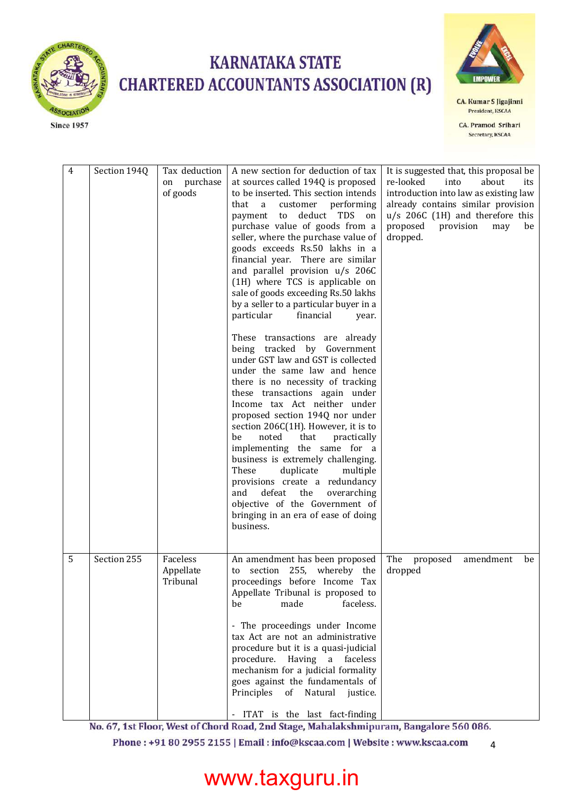



**CA. Kumar S Jigajinni** President, KSCAA

**CA. Pramod Srihari** Secretary, KSCAA

4

| 4 | Section 194Q | Tax deduction<br>on purchase<br>of goods | A new section for deduction of tax<br>at sources called 194Q is proposed<br>to be inserted. This section intends<br>that<br>customer<br>performing<br>a<br>payment to deduct TDS<br>on<br>purchase value of goods from a<br>seller, where the purchase value of<br>goods exceeds Rs.50 lakhs in a<br>financial year. There are similar<br>and parallel provision u/s 206C<br>(1H) where TCS is applicable on<br>sale of goods exceeding Rs.50 lakhs<br>by a seller to a particular buyer in a<br>particular<br>financial<br>year.<br>These transactions are already<br>being tracked by Government<br>under GST law and GST is collected<br>under the same law and hence<br>there is no necessity of tracking<br>these transactions again under<br>Income tax Act neither under<br>proposed section 194Q nor under<br>section 206C(1H). However, it is to<br>that<br>be<br>noted<br>practically<br>implementing the same for a<br>business is extremely challenging.<br>These<br>duplicate<br>multiple<br>provisions create a redundancy<br>defeat the<br>and<br>overarching<br>objective of the Government of<br>bringing in an era of ease of doing<br>business. | It is suggested that, this proposal be<br>re-looked<br>into<br>about<br>its<br>introduction into law as existing law<br>already contains similar provision<br>$u/s$ 206C (1H) and therefore this<br>proposed<br>provision<br>may<br>be<br>dropped. |
|---|--------------|------------------------------------------|--------------------------------------------------------------------------------------------------------------------------------------------------------------------------------------------------------------------------------------------------------------------------------------------------------------------------------------------------------------------------------------------------------------------------------------------------------------------------------------------------------------------------------------------------------------------------------------------------------------------------------------------------------------------------------------------------------------------------------------------------------------------------------------------------------------------------------------------------------------------------------------------------------------------------------------------------------------------------------------------------------------------------------------------------------------------------------------------------------------------------------------------------------------------|----------------------------------------------------------------------------------------------------------------------------------------------------------------------------------------------------------------------------------------------------|
| 5 | Section 255  | Faceless<br>Appellate<br>Tribunal        | An amendment has been proposed<br>255, whereby the<br>section<br>to<br>proceedings before Income Tax<br>Appellate Tribunal is proposed to<br>made<br>faceless.<br>be<br>- The proceedings under Income<br>tax Act are not an administrative<br>procedure but it is a quasi-judicial<br>procedure. Having a faceless<br>mechanism for a judicial formality<br>goes against the fundamentals of<br>Principles of Natural justice.<br>- ITAT is the last fact-finding                                                                                                                                                                                                                                                                                                                                                                                                                                                                                                                                                                                                                                                                                                 | The<br>proposed<br>amendment<br>be<br>dropped                                                                                                                                                                                                      |

No. 67, 1st Floor, West of Chord Road, 2nd Stage, Mahalakshmipuram, Bangalore 560 086.

Phone: +91 80 2955 2155 | Email: info@kscaa.com | Website: www.kscaa.com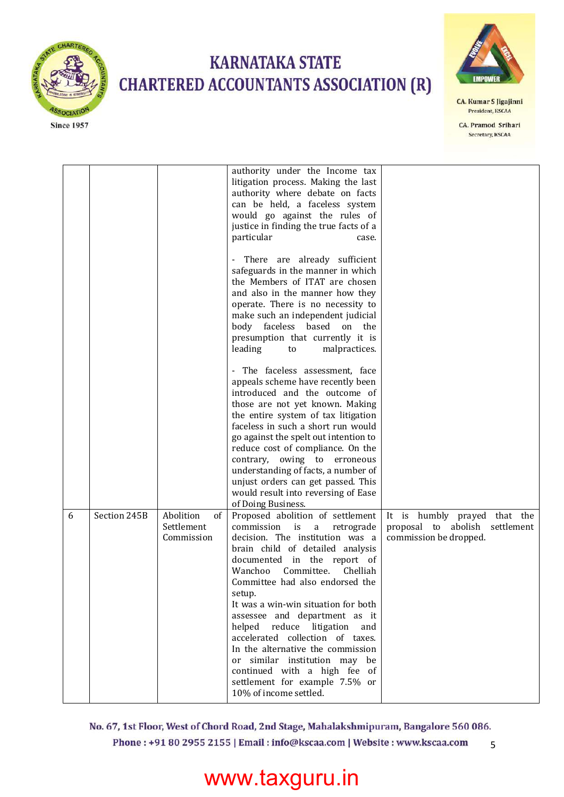



**CA. Kumar S Jigajinni** President, KSCAA

**CA. Pramod Srihari** Secretary, KSCAA

|   |              |                                             | authority under the Income tax<br>litigation process. Making the last<br>authority where debate on facts<br>can be held, a faceless system<br>would go against the rules of<br>justice in finding the true facts of a<br>particular<br>case.                                                                                                                                                                                                                                                                                                                                     |                                                                                             |
|---|--------------|---------------------------------------------|----------------------------------------------------------------------------------------------------------------------------------------------------------------------------------------------------------------------------------------------------------------------------------------------------------------------------------------------------------------------------------------------------------------------------------------------------------------------------------------------------------------------------------------------------------------------------------|---------------------------------------------------------------------------------------------|
|   |              |                                             | There are already sufficient<br>safeguards in the manner in which<br>the Members of ITAT are chosen<br>and also in the manner how they<br>operate. There is no necessity to<br>make such an independent judicial<br>body faceless based on<br>the<br>presumption that currently it is<br>leading<br>to<br>malpractices.                                                                                                                                                                                                                                                          |                                                                                             |
|   |              |                                             | - The faceless assessment, face<br>appeals scheme have recently been<br>introduced and the outcome of<br>those are not yet known. Making<br>the entire system of tax litigation<br>faceless in such a short run would<br>go against the spelt out intention to<br>reduce cost of compliance. On the<br>contrary, owing to erroneous<br>understanding of facts, a number of<br>unjust orders can get passed. This<br>would result into reversing of Ease<br>of Doing Business.                                                                                                    |                                                                                             |
| 6 | Section 245B | Abolition<br>of<br>Settlement<br>Commission | Proposed abolition of settlement<br>commission<br>is<br>a<br>retrograde<br>decision. The institution was a<br>brain child of detailed analysis<br>documented in the report of<br>Wanchoo<br>Committee.<br>Chelliah<br>Committee had also endorsed the<br>setup.<br>It was a win-win situation for both<br>assessee and department as it<br>helped reduce litigation<br>and<br>accelerated collection of taxes.<br>In the alternative the commission<br>or similar institution may be<br>continued with a high fee of<br>settlement for example 7.5% or<br>10% of income settled. | It is humbly prayed that the<br>proposal to abolish<br>settlement<br>commission be dropped. |

No. 67, 1st Floor, West of Chord Road, 2nd Stage, Mahalakshmipuram, Bangalore 560 086. Phone: +91 80 2955 2155 | Email: info@kscaa.com | Website: www.kscaa.com 5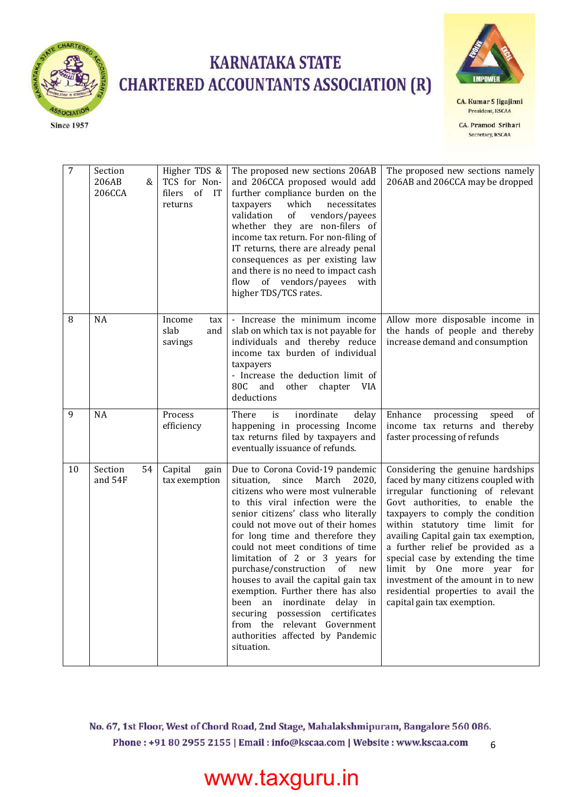



**CA. Kumar S Jigajinni** President, KSCAA

**CA. Pramod Srihari** Secretary, KSCAA

| $\overline{7}$ | Section<br>206AB<br>&<br>206CCA | Higher TDS &<br>TCS for Non-<br>filers of IT<br>returns | The proposed new sections 206AB<br>and 206CCA proposed would add<br>further compliance burden on the<br>which<br>taxpayers<br>necessitates<br>validation<br>of<br>vendors/payees<br>whether they are non-filers of<br>income tax return. For non-filing of<br>IT returns, there are already penal<br>consequences as per existing law<br>and there is no need to impact cash<br>flow of vendors/payees<br>with<br>higher TDS/TCS rates.                                                                                                                                                                                 | The proposed new sections namely<br>206AB and 206CCA may be dropped                                                                                                                                                                                                                                                                                                                                                                                                                      |
|----------------|---------------------------------|---------------------------------------------------------|-------------------------------------------------------------------------------------------------------------------------------------------------------------------------------------------------------------------------------------------------------------------------------------------------------------------------------------------------------------------------------------------------------------------------------------------------------------------------------------------------------------------------------------------------------------------------------------------------------------------------|------------------------------------------------------------------------------------------------------------------------------------------------------------------------------------------------------------------------------------------------------------------------------------------------------------------------------------------------------------------------------------------------------------------------------------------------------------------------------------------|
| 8              | <b>NA</b>                       | Income<br>tax<br>slab<br>and<br>savings                 | - Increase the minimum income<br>slab on which tax is not payable for<br>individuals and thereby reduce<br>income tax burden of individual<br>taxpayers<br>- Increase the deduction limit of<br>80C<br>chapter<br>and<br>other<br>VIA<br>deductions                                                                                                                                                                                                                                                                                                                                                                     | Allow more disposable income in<br>the hands of people and thereby<br>increase demand and consumption                                                                                                                                                                                                                                                                                                                                                                                    |
| 9              | NA                              | Process<br>efficiency                                   | There<br>inordinate<br>delay<br>is<br>happening in processing Income<br>tax returns filed by taxpayers and<br>eventually issuance of refunds.                                                                                                                                                                                                                                                                                                                                                                                                                                                                           | Enhance<br>of<br>processing<br>speed<br>income tax returns and thereby<br>faster processing of refunds                                                                                                                                                                                                                                                                                                                                                                                   |
| 10             | Section<br>54<br>and 54F        | Capital<br>gain<br>tax exemption                        | Due to Corona Covid-19 pandemic<br>March<br>situation,<br>since<br>2020,<br>citizens who were most vulnerable<br>to this viral infection were the<br>senior citizens' class who literally<br>could not move out of their homes<br>for long time and therefore they<br>could not meet conditions of time<br>limitation of 2 or 3 years for<br>purchase/construction<br>of<br>new<br>houses to avail the capital gain tax<br>exemption. Further there has also<br>inordinate<br>delay in<br>been an<br>securing possession certificates<br>from the relevant Government<br>authorities affected by Pandemic<br>situation. | Considering the genuine hardships<br>faced by many citizens coupled with<br>irregular functioning of relevant<br>Govt authorities, to enable the<br>taxpayers to comply the condition<br>within statutory time limit for<br>availing Capital gain tax exemption,<br>a further relief be provided as a<br>special case by extending the time<br>limit by One more year<br>for<br>investment of the amount in to new<br>residential properties to avail the<br>capital gain tax exemption. |

No. 67, 1st Floor, West of Chord Road, 2nd Stage, Mahalakshmipuram, Bangalore 560 086. Phone: +91 80 2955 2155 | Email: info@kscaa.com | Website: www.kscaa.com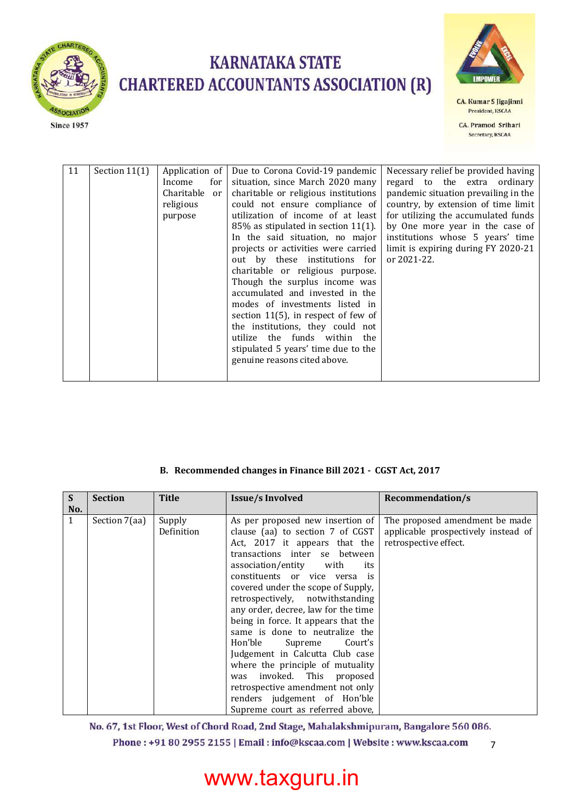



**CA. Kumar S Jigajinni** President, KSCAA

**CA. Pramod Srihari** Secretary, KSCAA

7

| 11 | Section $11(1)$ | Application of<br>for<br>Income<br>Charitable<br><sub>or</sub><br>religious<br>purpose | Due to Corona Covid-19 pandemic<br>situation, since March 2020 many<br>charitable or religious institutions<br>could not ensure compliance of<br>utilization of income of at least<br>$85\%$ as stipulated in section 11(1).<br>In the said situation, no major<br>projects or activities were carried<br>out by these institutions for<br>charitable or religious purpose.<br>Though the surplus income was<br>accumulated and invested in the<br>modes of investments listed in<br>section $11(5)$ , in respect of few of<br>the institutions, they could not<br>utilize the funds within the<br>stipulated 5 years' time due to the | Necessary relief be provided having<br>regard to the extra ordinary<br>pandemic situation prevailing in the<br>country, by extension of time limit<br>for utilizing the accumulated funds<br>by One more year in the case of<br>institutions whose 5 years' time<br>limit is expiring during FY 2020-21<br>or 2021-22. |
|----|-----------------|----------------------------------------------------------------------------------------|----------------------------------------------------------------------------------------------------------------------------------------------------------------------------------------------------------------------------------------------------------------------------------------------------------------------------------------------------------------------------------------------------------------------------------------------------------------------------------------------------------------------------------------------------------------------------------------------------------------------------------------|------------------------------------------------------------------------------------------------------------------------------------------------------------------------------------------------------------------------------------------------------------------------------------------------------------------------|
|    |                 |                                                                                        | genuine reasons cited above.                                                                                                                                                                                                                                                                                                                                                                                                                                                                                                                                                                                                           |                                                                                                                                                                                                                                                                                                                        |

#### **B. Recommended changes in Finance Bill 2021 - CGST Act, 2017**

| S            | <b>Section</b> | <b>Title</b>         | <b>Issue/s Involved</b>                                                                                                                                                                                                                                                                                                                                                                                                                                                                                                                                                    | Recommendation/s                                                                               |
|--------------|----------------|----------------------|----------------------------------------------------------------------------------------------------------------------------------------------------------------------------------------------------------------------------------------------------------------------------------------------------------------------------------------------------------------------------------------------------------------------------------------------------------------------------------------------------------------------------------------------------------------------------|------------------------------------------------------------------------------------------------|
| No.          |                |                      |                                                                                                                                                                                                                                                                                                                                                                                                                                                                                                                                                                            |                                                                                                |
| $\mathbf{1}$ | Section 7(aa)  | Supply<br>Definition | As per proposed new insertion of<br>clause (aa) to section 7 of CGST<br>Act, 2017 it appears that the<br>transactions inter se between<br>association/entity with<br>its<br>constituents or vice versa is<br>covered under the scope of Supply,<br>retrospectively, notwithstanding<br>any order, decree, law for the time<br>being in force. It appears that the<br>same is done to neutralize the<br>Hon'ble<br>Supreme Court's<br>Judgement in Calcutta Club case<br>where the principle of mutuality<br>was invoked. This proposed<br>retrospective amendment not only | The proposed amendment be made<br>applicable prospectively instead of<br>retrospective effect. |
|              |                |                      | renders judgement of Hon'ble<br>Supreme court as referred above,                                                                                                                                                                                                                                                                                                                                                                                                                                                                                                           |                                                                                                |

No. 67, 1st Floor, West of Chord Road, 2nd Stage, Mahalakshmipuram, Bangalore 560 086.

Phone: +91 80 2955 2155 | Email: info@kscaa.com | Website: www.kscaa.com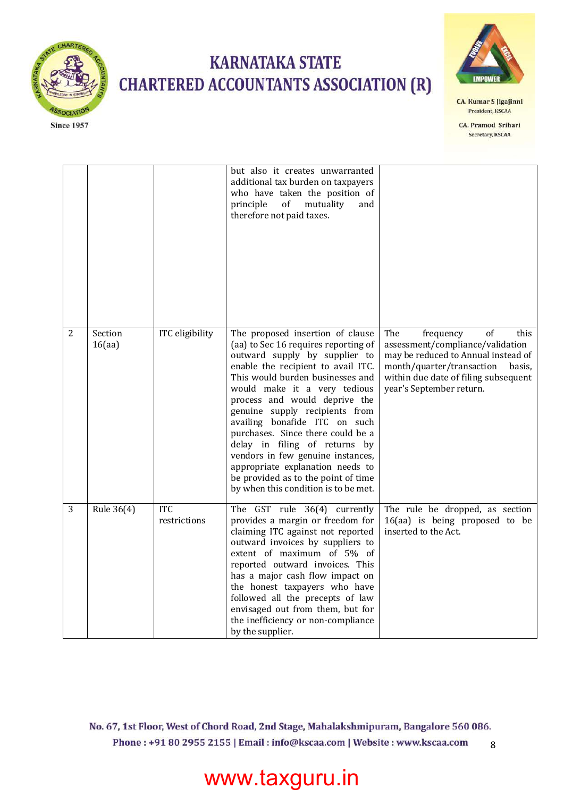



**CA. Kumar S Jigajinni** President, KSCAA

**CA. Pramod Srihari** Secretary, KSCAA

|                |                   |                            | but also it creates unwarranted<br>additional tax burden on taxpayers<br>who have taken the position of<br>principle<br>mutuality<br>of<br>and<br>therefore not paid taxes.                                                                                                                                                                                                                                                                                                                                                                           |                                                                                                                                                                                                                      |
|----------------|-------------------|----------------------------|-------------------------------------------------------------------------------------------------------------------------------------------------------------------------------------------------------------------------------------------------------------------------------------------------------------------------------------------------------------------------------------------------------------------------------------------------------------------------------------------------------------------------------------------------------|----------------------------------------------------------------------------------------------------------------------------------------------------------------------------------------------------------------------|
| $\overline{2}$ | Section<br>16(aa) | ITC eligibility            | The proposed insertion of clause<br>(aa) to Sec 16 requires reporting of<br>outward supply by supplier to<br>enable the recipient to avail ITC.<br>This would burden businesses and<br>would make it a very tedious<br>process and would deprive the<br>genuine supply recipients from<br>availing bonafide ITC on such<br>purchases. Since there could be a<br>delay in filing of returns by<br>vendors in few genuine instances,<br>appropriate explanation needs to<br>be provided as to the point of time<br>by when this condition is to be met. | The<br>of<br>frequency<br>this<br>assessment/compliance/validation<br>may be reduced to Annual instead of<br>month/quarter/transaction<br>basis,<br>within due date of filing subsequent<br>year's September return. |
| 3              | Rule 36(4)        | <b>ITC</b><br>restrictions | The GST rule 36(4) currently<br>provides a margin or freedom for<br>claiming ITC against not reported<br>outward invoices by suppliers to<br>extent of maximum of 5% of<br>reported outward invoices. This<br>has a major cash flow impact on<br>the honest taxpayers who have<br>followed all the precepts of law<br>envisaged out from them, but for<br>the inefficiency or non-compliance<br>by the supplier.                                                                                                                                      | The rule be dropped, as section<br>16(aa) is being proposed to be<br>inserted to the Act.                                                                                                                            |

No. 67, 1st Floor, West of Chord Road, 2nd Stage, Mahalakshmipuram, Bangalore 560 086. Phone: +91 80 2955 2155 | Email: info@kscaa.com | Website: www.kscaa.com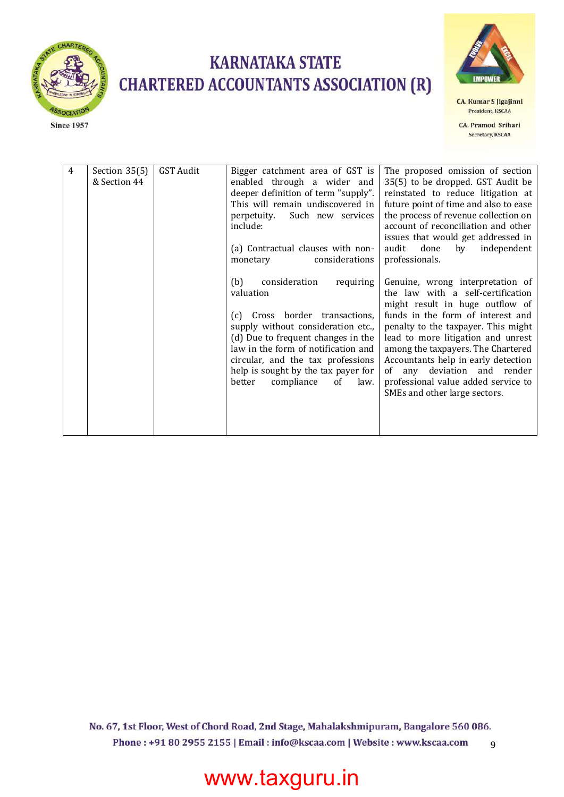



**CA. Kumar S Jigajinni** President, KSCAA

**CA. Pramod Srihari** Secretary, KSCAA

| 4 | Section $35(5)$ | <b>GST Audit</b> | Bigger catchment area of GST is     | The proposed omission of section                                     |
|---|-----------------|------------------|-------------------------------------|----------------------------------------------------------------------|
|   | & Section 44    |                  | enabled through a wider and         | 35(5) to be dropped. GST Audit be                                    |
|   |                 |                  | deeper definition of term "supply". | reinstated to reduce litigation at                                   |
|   |                 |                  | This will remain undiscovered in    | future point of time and also to ease                                |
|   |                 |                  | Such new services<br>perpetuity.    | the process of revenue collection on                                 |
|   |                 |                  | include:                            | account of reconciliation and other                                  |
|   |                 |                  |                                     | issues that would get addressed in                                   |
|   |                 |                  | (a) Contractual clauses with non-   | audit<br>done<br>by<br>independent                                   |
|   |                 |                  | considerations<br>monetary          | professionals.                                                       |
|   |                 |                  |                                     |                                                                      |
|   |                 |                  | (b)<br>consideration<br>requiring   | Genuine, wrong interpretation of                                     |
|   |                 |                  | valuation                           | the law with a self-certification                                    |
|   |                 |                  | (c) Cross border transactions,      | might result in huge outflow of<br>funds in the form of interest and |
|   |                 |                  | supply without consideration etc.,  | penalty to the taxpayer. This might                                  |
|   |                 |                  | (d) Due to frequent changes in the  | lead to more litigation and unrest                                   |
|   |                 |                  | law in the form of notification and | among the taxpayers. The Chartered                                   |
|   |                 |                  | circular, and the tax professions   | Accountants help in early detection                                  |
|   |                 |                  | help is sought by the tax payer for | of any deviation and render                                          |
|   |                 |                  | compliance<br>of<br>better<br>law.  | professional value added service to                                  |
|   |                 |                  |                                     | SMEs and other large sectors.                                        |
|   |                 |                  |                                     |                                                                      |
|   |                 |                  |                                     |                                                                      |
|   |                 |                  |                                     |                                                                      |

No. 67, 1st Floor, West of Chord Road, 2nd Stage, Mahalakshmipuram, Bangalore 560 086. Phone: +91 80 2955 2155 | Email: info@kscaa.com | Website: www.kscaa.com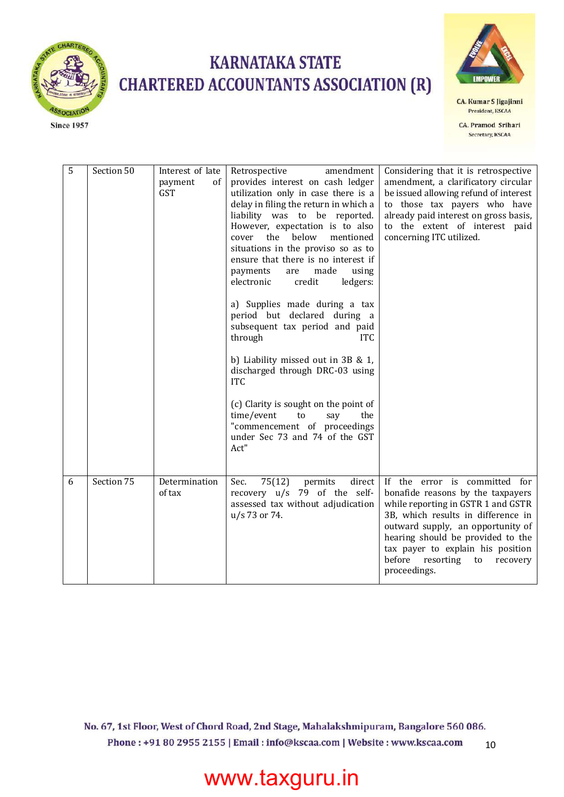



**CA. Kumar S Jigajinni** President, KSCAA

**CA. Pramod Srihari** Secretary, KSCAA

| 5 | Section 50 | Interest of late<br>of<br>payment<br><b>GST</b> | amendment<br>Retrospective<br>provides interest on cash ledger<br>utilization only in case there is a<br>delay in filing the return in which a<br>liability was to be reported.<br>However, expectation is to also<br>cover<br>the<br>below<br>mentioned<br>situations in the proviso so as to<br>ensure that there is no interest if<br>made<br>payments<br>using<br>are<br>electronic<br>credit<br>ledgers:<br>a) Supplies made during a tax<br>period but declared during a<br>subsequent tax period and paid<br>through<br><b>ITC</b><br>b) Liability missed out in $3B & 1$ ,<br>discharged through DRC-03 using<br><b>ITC</b><br>(c) Clarity is sought on the point of<br>time/event<br>to<br>say<br>the<br>"commencement of proceedings<br>under Sec 73 and 74 of the GST<br>Act" | Considering that it is retrospective<br>amendment, a clarificatory circular<br>be issued allowing refund of interest<br>to those tax payers who have<br>already paid interest on gross basis,<br>to the extent of interest paid<br>concerning ITC utilized.                                                         |
|---|------------|-------------------------------------------------|------------------------------------------------------------------------------------------------------------------------------------------------------------------------------------------------------------------------------------------------------------------------------------------------------------------------------------------------------------------------------------------------------------------------------------------------------------------------------------------------------------------------------------------------------------------------------------------------------------------------------------------------------------------------------------------------------------------------------------------------------------------------------------------|---------------------------------------------------------------------------------------------------------------------------------------------------------------------------------------------------------------------------------------------------------------------------------------------------------------------|
| 6 | Section 75 | Determination<br>of tax                         | 75(12)<br>direct<br>Sec.<br>permits<br>recovery u/s 79 of the self-<br>assessed tax without adjudication<br>u/s 73 or 74.                                                                                                                                                                                                                                                                                                                                                                                                                                                                                                                                                                                                                                                                | If the error is committed for<br>bonafide reasons by the taxpayers<br>while reporting in GSTR 1 and GSTR<br>3B, which results in difference in<br>outward supply, an opportunity of<br>hearing should be provided to the<br>tax payer to explain his position<br>before resorting<br>to<br>recovery<br>proceedings. |

No. 67, 1st Floor, West of Chord Road, 2nd Stage, Mahalakshmipuram, Bangalore 560 086. Phone: +91 80 2955 2155 | Email: info@kscaa.com | Website: www.kscaa.com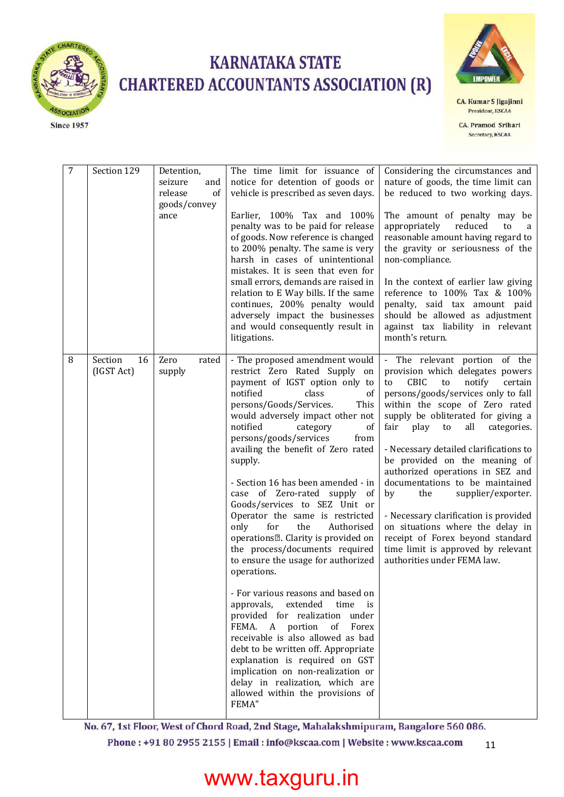



**CA. Kumar S Jigajinni** President, KSCAA

**CA. Pramod Srihari** Secretary, KSCAA

| $\overline{7}$ | Section 129                 | Detention,<br>seizure<br>and<br>of<br>release<br>goods/convey<br>ance | The time limit for issuance of<br>notice for detention of goods or<br>vehicle is prescribed as seven days.<br>Earlier, 100% Tax and 100%<br>penalty was to be paid for release<br>of goods. Now reference is changed<br>to 200% penalty. The same is very<br>harsh in cases of unintentional<br>mistakes. It is seen that even for<br>small errors, demands are raised in<br>relation to E Way bills. If the same<br>continues, 200% penalty would<br>adversely impact the businesses<br>and would consequently result in<br>litigations.                                                                                                                                                                                                                                                                                                                                                                                                                                                                        | Considering the circumstances and<br>nature of goods, the time limit can<br>be reduced to two working days.<br>The amount of penalty may be<br>reduced<br>appropriately<br>to<br>a<br>reasonable amount having regard to<br>the gravity or seriousness of the<br>non-compliance.<br>In the context of earlier law giving<br>reference to 100% Tax & 100%<br>penalty, said tax amount paid<br>should be allowed as adjustment<br>against tax liability in relevant<br>month's return.                                                                                                                                                             |
|----------------|-----------------------------|-----------------------------------------------------------------------|------------------------------------------------------------------------------------------------------------------------------------------------------------------------------------------------------------------------------------------------------------------------------------------------------------------------------------------------------------------------------------------------------------------------------------------------------------------------------------------------------------------------------------------------------------------------------------------------------------------------------------------------------------------------------------------------------------------------------------------------------------------------------------------------------------------------------------------------------------------------------------------------------------------------------------------------------------------------------------------------------------------|--------------------------------------------------------------------------------------------------------------------------------------------------------------------------------------------------------------------------------------------------------------------------------------------------------------------------------------------------------------------------------------------------------------------------------------------------------------------------------------------------------------------------------------------------------------------------------------------------------------------------------------------------|
| 8              | Section<br>16<br>(IGST Act) | Zero<br>rated<br>supply                                               | - The proposed amendment would<br>restrict Zero Rated Supply on<br>payment of IGST option only to<br>notified<br>class<br>of<br>This<br>persons/Goods/Services.<br>would adversely impact other not<br>notified<br>of<br>category<br>persons/goods/services<br>from<br>availing the benefit of Zero rated<br>supply.<br>- Section 16 has been amended - in<br>case of Zero-rated supply of<br>Goods/services to SEZ Unit or<br>Operator the same is restricted<br>only<br>for<br>Authorised<br>the<br>operations• . Clarity is provided on<br>the process/documents required<br>to ensure the usage for authorized<br>operations.<br>- For various reasons and based on<br>extended<br>approvals,<br>time<br>is<br>provided for realization under<br>FEMA. A portion of Forex<br>receivable is also allowed as bad<br>debt to be written off. Appropriate<br>explanation is required on GST<br>implication on non-realization or<br>delay in realization, which are<br>allowed within the provisions of<br>FEMA" | - The relevant portion of the<br>provision which delegates powers<br>CBIC<br>notify<br>to<br>to<br>certain<br>persons/goods/services only to fall<br>within the scope of Zero rated<br>supply be obliterated for giving a<br>fair<br>all<br>play<br>to<br>categories.<br>- Necessary detailed clarifications to<br>be provided on the meaning of<br>authorized operations in SEZ and<br>documentations to be maintained<br>by<br>supplier/exporter.<br>the<br>- Necessary clarification is provided<br>on situations where the delay in<br>receipt of Forex beyond standard<br>time limit is approved by relevant<br>authorities under FEMA law. |

No. 67, 1st Floor, West of Chord Road, 2nd Stage, Mahalakshmipuram, Bangalore 560 086. Phone: +91 80 2955 2155 | Email: info@kscaa.com | Website: www.kscaa.com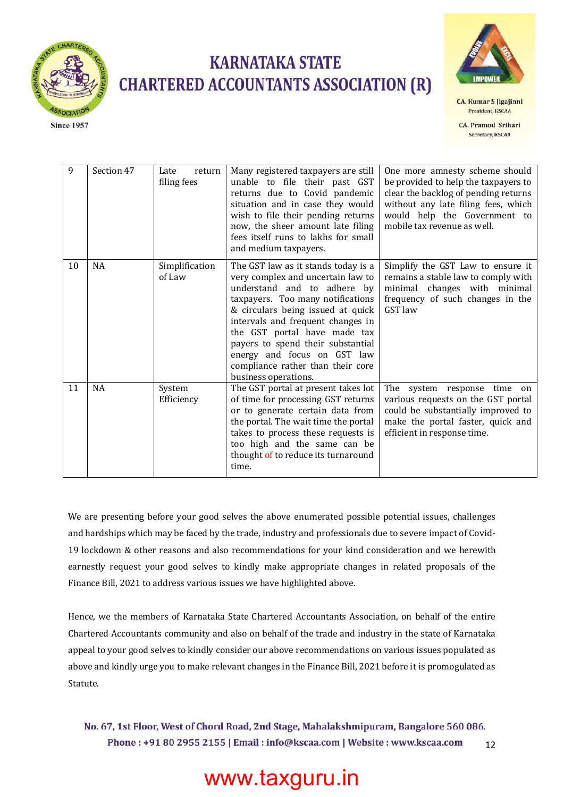



**CA. Kumar S Jigajinni** President, KSCAA

**CA. Pramod Srihari** Secretary KSCAA

| 9  | Section 47 | Late<br>return<br>filing fees | Many registered taxpayers are still<br>unable to file their past GST<br>returns due to Covid pandemic<br>situation and in case they would<br>wish to file their pending returns<br>now, the sheer amount late filing<br>fees itself runs to lakhs for small<br>and medium taxpayers.                                                                                                    | One more amnesty scheme should<br>be provided to help the taxpayers to<br>clear the backlog of pending returns<br>without any late filing fees, which<br>would help the Government to<br>mobile tax revenue as well. |
|----|------------|-------------------------------|-----------------------------------------------------------------------------------------------------------------------------------------------------------------------------------------------------------------------------------------------------------------------------------------------------------------------------------------------------------------------------------------|----------------------------------------------------------------------------------------------------------------------------------------------------------------------------------------------------------------------|
| 10 | NA         | Simplification<br>of Law      | The GST law as it stands today is a<br>very complex and uncertain law to<br>understand and to adhere by<br>taxpayers. Too many notifications<br>& circulars being issued at quick<br>intervals and frequent changes in<br>the GST portal have made tax<br>payers to spend their substantial<br>energy and focus on GST law<br>compliance rather than their core<br>business operations. | Simplify the GST Law to ensure it<br>remains a stable law to comply with<br>minimal changes with minimal<br>frequency of such changes in the<br>GST law                                                              |
| 11 | <b>NA</b>  | System<br>Efficiency          | The GST portal at present takes lot<br>of time for processing GST returns<br>or to generate certain data from<br>the portal. The wait time the portal<br>takes to process these requests is<br>too high and the same can be<br>thought of to reduce its turnaround<br>time.                                                                                                             | The system response time<br>on<br>various requests on the GST portal<br>could be substantially improved to<br>make the portal faster, quick and<br>efficient in response time.                                       |

We are presenting before your good selves the above enumerated possible potential issues, challenges and hardships which may be faced by the trade, industry and professionals due to severe impact of Covid-19 lockdown & other reasons and also recommendations for your kind consideration and we herewith earnestly request your good selves to kindly make appropriate changes in related proposals of the Finance Bill, 2021 to address various issues we have highlighted above.

Hence, we the members of Karnataka State Chartered Accountants Association, on behalf of the entire Chartered Accountants community and also on behalf of the trade and industry in the state of Karnataka appeal to your good selves to kindly consider our above recommendations on various issues populated as above and kindly urge you to make relevant changes in the Finance Bill, 2021 before it is promogulated as Statute.

No. 67, 1st Floor, West of Chord Road, 2nd Stage, Mahalakshmipuram, Bangalore 560 086. Phone: +91 80 2955 2155 | Email: info@kscaa.com | Website: www.kscaa.com